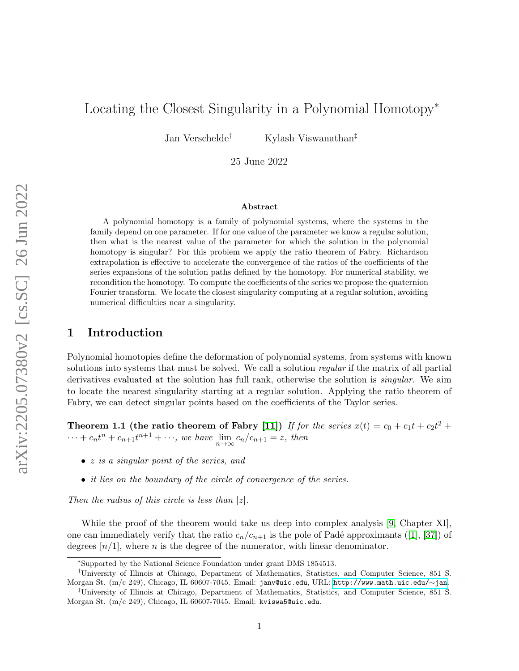# Locating the Closest Singularity in a Polynomial Homotopy<sup>∗</sup>

Jan Verschelde† Kylash Viswanathan‡

25 June 2022

#### Abstract

A polynomial homotopy is a family of polynomial systems, where the systems in the family depend on one parameter. If for one value of the parameter we know a regular solution, then what is the nearest value of the parameter for which the solution in the polynomial homotopy is singular? For this problem we apply the ratio theorem of Fabry. Richardson extrapolation is effective to accelerate the convergence of the ratios of the coefficients of the series expansions of the solution paths defined by the homotopy. For numerical stability, we recondition the homotopy. To compute the coefficients of the series we propose the quaternion Fourier transform. We locate the closest singularity computing at a regular solution, avoiding numerical difficulties near a singularity.

# 1 Introduction

Polynomial homotopies define the deformation of polynomial systems, from systems with known solutions into systems that must be solved. We call a solution *regular* if the matrix of all partial derivatives evaluated at the solution has full rank, otherwise the solution is singular. We aim to locate the nearest singularity starting at a regular solution. Applying the ratio theorem of Fabry, we can detect singular points based on the coefficients of the Taylor series.

<span id="page-0-0"></span>**Theorem 1.1** (the ratio theorem of Fabry [\[11\]](#page-16-0)) If for the series  $x(t) = c_0 + c_1t + c_2t^2 +$  $\cdots + c_n t^n + c_{n+1} t^{n+1} + \cdots$ , we have  $\lim_{n \to \infty} c_n / c_{n+1} = z$ , then

- *z* is a singular point of the series, and
- it lies on the boundary of the circle of convergence of the series.

Then the radius of this circle is less than  $|z|$ .

While the proof of the theorem would take us deep into complex analysis [\[9,](#page-16-1) Chapter XI], one can immediately verify that the ratio  $c_n/c_{n+1}$  is the pole of Padé approximants ([\[1\]](#page-16-2), [\[37\]](#page-18-0)) of degrees  $\lfloor n/1 \rfloor$ , where *n* is the degree of the numerator, with linear denominator.

<sup>∗</sup>Supported by the National Science Foundation under grant DMS 1854513.

<sup>†</sup>University of Illinois at Chicago, Department of Mathematics, Statistics, and Computer Science, 851 S. Morgan St. (m/c 249), Chicago, IL 60607-7045. Email: janv@uic.edu, URL: [http://www.math.uic.edu/](http://www.math.uic.edu/~jan)∼jan.

<sup>‡</sup>University of Illinois at Chicago, Department of Mathematics, Statistics, and Computer Science, 851 S. Morgan St. (m/c 249), Chicago, IL 60607-7045. Email: kviswa5@uic.edu.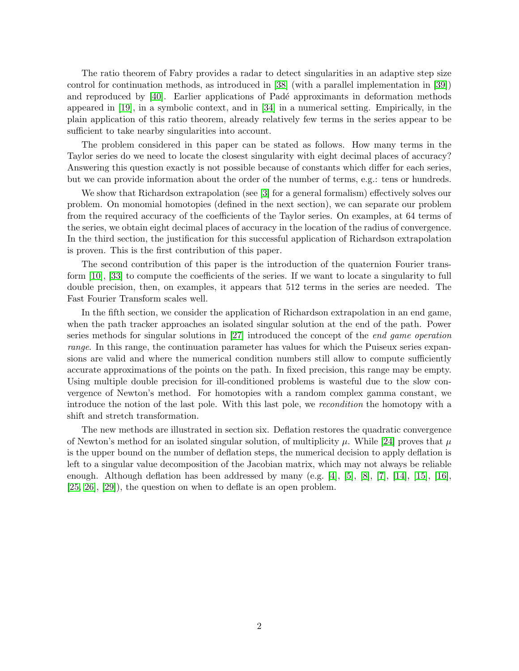The ratio theorem of Fabry provides a radar to detect singularities in an adaptive step size control for continuation methods, as introduced in [\[38\]](#page-18-1) (with a parallel implementation in [\[39\]](#page-18-2)) and reproduced by  $[40]$ . Earlier applications of Padé approximants in deformation methods appeared in [\[19\]](#page-17-0), in a symbolic context, and in [\[34\]](#page-18-4) in a numerical setting. Empirically, in the plain application of this ratio theorem, already relatively few terms in the series appear to be sufficient to take nearby singularities into account.

The problem considered in this paper can be stated as follows. How many terms in the Taylor series do we need to locate the closest singularity with eight decimal places of accuracy? Answering this question exactly is not possible because of constants which differ for each series, but we can provide information about the order of the number of terms, e.g.: tens or hundreds.

We show that Richardson extrapolation (see [\[3\]](#page-16-3) for a general formalism) effectively solves our problem. On monomial homotopies (defined in the next section), we can separate our problem from the required accuracy of the coefficients of the Taylor series. On examples, at 64 terms of the series, we obtain eight decimal places of accuracy in the location of the radius of convergence. In the third section, the justification for this successful application of Richardson extrapolation is proven. This is the first contribution of this paper.

The second contribution of this paper is the introduction of the quaternion Fourier transform [\[10\]](#page-16-4), [\[33\]](#page-18-5) to compute the coefficients of the series. If we want to locate a singularity to full double precision, then, on examples, it appears that 512 terms in the series are needed. The Fast Fourier Transform scales well.

In the fifth section, we consider the application of Richardson extrapolation in an end game, when the path tracker approaches an isolated singular solution at the end of the path. Power series methods for singular solutions in [\[27\]](#page-17-1) introduced the concept of the *end game operation* range. In this range, the continuation parameter has values for which the Puiseux series expansions are valid and where the numerical condition numbers still allow to compute sufficiently accurate approximations of the points on the path. In fixed precision, this range may be empty. Using multiple double precision for ill-conditioned problems is wasteful due to the slow convergence of Newton's method. For homotopies with a random complex gamma constant, we introduce the notion of the last pole. With this last pole, we recondition the homotopy with a shift and stretch transformation.

The new methods are illustrated in section six. Deflation restores the quadratic convergence of Newton's method for an isolated singular solution, of multiplicity  $\mu$ . While [\[24\]](#page-17-2) proves that  $\mu$ is the upper bound on the number of deflation steps, the numerical decision to apply deflation is left to a singular value decomposition of the Jacobian matrix, which may not always be reliable enough. Although deflation has been addressed by many  $(e.g. [4], [5], [8], [7], [14], [15], [16]$  $(e.g. [4], [5], [8], [7], [14], [15], [16]$  $(e.g. [4], [5], [8], [7], [14], [15], [16]$  $(e.g. [4], [5], [8], [7], [14], [15], [16]$  $(e.g. [4], [5], [8], [7], [14], [15], [16]$  $(e.g. [4], [5], [8], [7], [14], [15], [16]$  $(e.g. [4], [5], [8], [7], [14], [15], [16]$  $(e.g. [4], [5], [8], [7], [14], [15], [16]$  $(e.g. [4], [5], [8], [7], [14], [15], [16]$  $(e.g. [4], [5], [8], [7], [14], [15], [16]$  $(e.g. [4], [5], [8], [7], [14], [15], [16]$  $(e.g. [4], [5], [8], [7], [14], [15], [16]$  $(e.g. [4], [5], [8], [7], [14], [15], [16]$  $(e.g. [4], [5], [8], [7], [14], [15], [16]$ , [\[25,](#page-17-6) [26\]](#page-17-7), [\[29\]](#page-17-8)), the question on when to deflate is an open problem.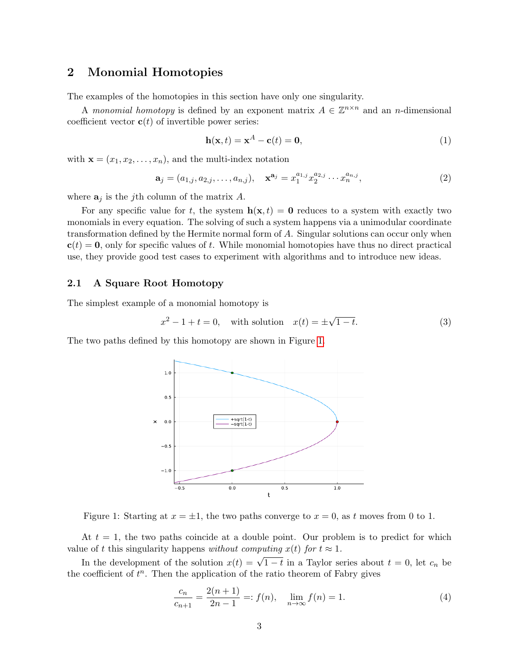## 2 Monomial Homotopies

The examples of the homotopies in this section have only one singularity.

A monomial homotopy is defined by an exponent matrix  $A \in \mathbb{Z}^{n \times n}$  and an *n*-dimensional coefficient vector  $\mathbf{c}(t)$  of invertible power series:

$$
\mathbf{h}(\mathbf{x},t) = \mathbf{x}^A - \mathbf{c}(t) = \mathbf{0},\tag{1}
$$

with  $\mathbf{x} = (x_1, x_2, \dots, x_n)$ , and the multi-index notation

$$
\mathbf{a}_{j} = (a_{1,j}, a_{2,j}, \dots, a_{n,j}), \quad \mathbf{x}^{\mathbf{a}_{j}} = x_{1}^{a_{1,j}} x_{2}^{a_{2,j}} \cdots x_{n}^{a_{n,j}}, \tag{2}
$$

where  $a_j$  is the j<sup>th</sup> column of the matrix A.

For any specific value for t, the system  $h(x, t) = 0$  reduces to a system with exactly two monomials in every equation. The solving of such a system happens via a unimodular coordinate transformation defined by the Hermite normal form of A. Singular solutions can occur only when  ${\bf c}(t) = {\bf 0}$ , only for specific values of t. While monomial homotopies have thus no direct practical use, they provide good test cases to experiment with algorithms and to introduce new ideas.

#### 2.1 A Square Root Homotopy

The simplest example of a monomial homotopy is

$$
x^2 - 1 + t = 0, \quad \text{with solution} \quad x(t) = \pm \sqrt{1 - t}.
$$
 (3)

The two paths defined by this homotopy are shown in Figure [1.](#page-2-0)



<span id="page-2-0"></span>Figure 1: Starting at  $x = \pm 1$ , the two paths converge to  $x = 0$ , as t moves from 0 to 1.

At  $t = 1$ , the two paths coincide at a double point. Our problem is to predict for which value of t this singularity happens without computing  $x(t)$  for  $t \approx 1$ .

In the development of the solution  $x(t) = \sqrt{1-t}$  in a Taylor series about  $t = 0$ , let  $c_n$  be the coefficient of  $t^n$ . Then the application of the ratio theorem of Fabry gives

<span id="page-2-1"></span>
$$
\frac{c_n}{c_{n+1}} = \frac{2(n+1)}{2n-1} =: f(n), \quad \lim_{n \to \infty} f(n) = 1.
$$
 (4)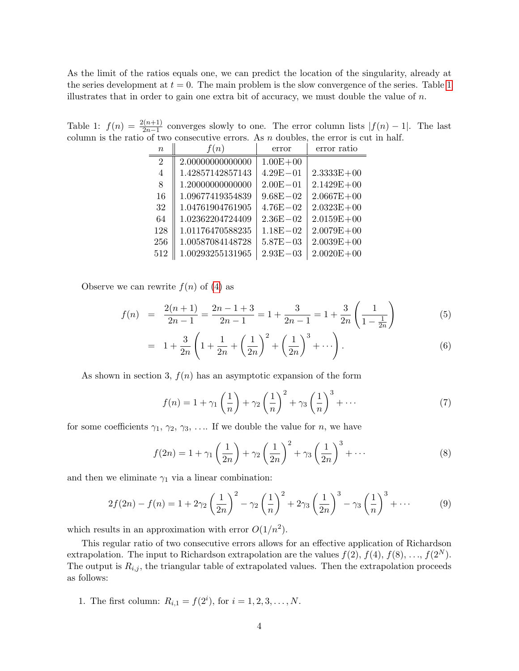As the limit of the ratios equals one, we can predict the location of the singularity, already at the series development at  $t = 0$ . The main problem is the slow convergence of the series. Table [1](#page-3-0) illustrates that in order to gain one extra bit of accuracy, we must double the value of  $n$ .

|                | woodervolution: 110 Teledonomi |              |                |
|----------------|--------------------------------|--------------|----------------|
| $\eta$         | f(n)                           | error        | error ratio    |
| $\overline{2}$ | 2.00000000000000               | $1.00E + 00$ |                |
| $\overline{4}$ | 1.42857142857143               | $4.29E - 01$ | $2.3333E + 00$ |
| 8              | 1.20000000000000               | $2.00E - 01$ | $2.1429E + 00$ |
| 16             | 1.09677419354839               | $9.68E - 02$ | $2.0667E + 00$ |
| 32             | 1.04761904761905               | $4.76E - 02$ | $2.0323E + 00$ |
| 64             | 1.02362204724409               | $2.36E - 02$ | $2.0159E + 00$ |
| 128            | 1.01176470588235               | $1.18E - 02$ | $2.0079E + 00$ |
| 256            | 1.00587084148728               | $5.87E - 03$ | $2.0039E + 00$ |
| 512            | 1.00293255131965               | $2.93E - 03$ | $2.0020E + 00$ |
|                |                                |              |                |

<span id="page-3-0"></span>Table 1:  $f(n) = \frac{2(n+1)}{2n-1}$  converges slowly to one. The error column lists  $|f(n) - 1|$ . The last column is the ratio of two consecutive errors. As  $n$  doubles, the error is cut in half.

Observe we can rewrite  $f(n)$  of [\(4\)](#page-2-1) as

$$
f(n) = \frac{2(n+1)}{2n-1} = \frac{2n-1+3}{2n-1} = 1 + \frac{3}{2n-1} = 1 + \frac{3}{2n} \left(\frac{1}{1-\frac{1}{2n}}\right)
$$
(5)

$$
= 1 + \frac{3}{2n} \left( 1 + \frac{1}{2n} + \left( \frac{1}{2n} \right)^2 + \left( \frac{1}{2n} \right)^3 + \cdots \right).
$$
 (6)

As shown in section 3,  $f(n)$  has an asymptotic expansion of the form

$$
f(n) = 1 + \gamma_1 \left(\frac{1}{n}\right) + \gamma_2 \left(\frac{1}{n}\right)^2 + \gamma_3 \left(\frac{1}{n}\right)^3 + \cdots
$$
 (7)

for some coefficients  $\gamma_1, \gamma_2, \gamma_3, \ldots$  If we double the value for n, we have

$$
f(2n) = 1 + \gamma_1 \left(\frac{1}{2n}\right) + \gamma_2 \left(\frac{1}{2n}\right)^2 + \gamma_3 \left(\frac{1}{2n}\right)^3 + \cdots
$$
 (8)

and then we eliminate  $\gamma_1$  via a linear combination:

$$
2f(2n) - f(n) = 1 + 2\gamma_2 \left(\frac{1}{2n}\right)^2 - \gamma_2 \left(\frac{1}{n}\right)^2 + 2\gamma_3 \left(\frac{1}{2n}\right)^3 - \gamma_3 \left(\frac{1}{n}\right)^3 + \cdots
$$
 (9)

which results in an approximation with error  $O(1/n^2)$ .

This regular ratio of two consecutive errors allows for an effective application of Richardson extrapolation. The input to Richardson extrapolation are the values  $f(2)$ ,  $f(4)$ ,  $f(8)$ , ...,  $f(2^N)$ . The output is  $R_{i,j}$ , the triangular table of extrapolated values. Then the extrapolation proceeds as follows:

1. The first column:  $R_{i,1} = f(2^i)$ , for  $i = 1, 2, 3, ..., N$ .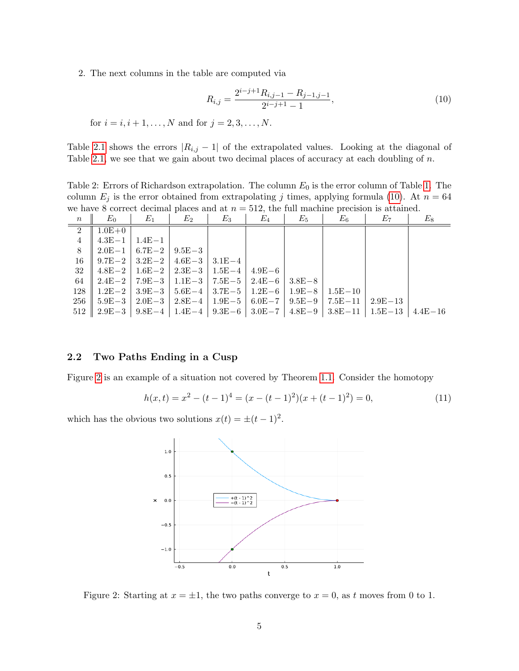2. The next columns in the table are computed via

<span id="page-4-1"></span>
$$
R_{i,j} = \frac{2^{i-j+1} R_{i,j-1} - R_{j-1,j-1}}{2^{i-j+1} - 1},\tag{10}
$$

for  $i = i, i + 1, ..., N$  and for  $j = 2, 3, ..., N$ .

Table [2.1](#page-4-0) shows the errors  $|R_{i,j} - 1|$  of the extrapolated values. Looking at the diagonal of Table [2.1,](#page-4-0) we see that we gain about two decimal places of accuracy at each doubling of  $n$ .

<span id="page-4-0"></span>Table 2: Errors of Richardson extrapolation. The column  $E_0$  is the error column of Table [1.](#page-3-0) The column  $E_j$  is the error obtained from extrapolating j times, applying formula [\(10\)](#page-4-1). At  $n = 64$ we have 8 correct decimal places and at  $n = 512$ , the full machine precision is attained.

| $\, n$         | $E_0$      | $E_1$                      | $E_2$                                     | $E_3$                                                | $E_4$                                                           | $E_5$ | $E_{\rm 6}$         | $E_7$       | $E_8$       |
|----------------|------------|----------------------------|-------------------------------------------|------------------------------------------------------|-----------------------------------------------------------------|-------|---------------------|-------------|-------------|
| $\overline{2}$ | $1.0E + 0$ |                            |                                           |                                                      |                                                                 |       |                     |             |             |
| 4              | $4.3E - 1$ | $1.4E - 1$                 |                                           |                                                      |                                                                 |       |                     |             |             |
| 8              |            | $2.0E-1$   6.7E-2   9.5E-3 |                                           |                                                      |                                                                 |       |                     |             |             |
| 16             |            |                            | $9.7E-2$   $3.2E-2$   $4.6E-3$   $3.1E-4$ |                                                      |                                                                 |       |                     |             |             |
| 32             |            |                            |                                           | $4.8E-2$   $1.6E-2$   $2.3E-3$   $1.5E-4$   $4.9E-6$ |                                                                 |       |                     |             |             |
| 64             |            |                            |                                           |                                                      | $2.4E-2$   $7.9E-3$   $1.1E-3$   $7.5E-5$   $2.4E-6$   $3.8E-8$ |       |                     |             |             |
| 128            |            |                            |                                           |                                                      | $1.2E-2$   $3.9E-3$   $5.6E-4$   $3.7E-5$   $1.2E-6$   $1.9E-8$ |       | $1.5E - 10$         |             |             |
| 256            |            |                            |                                           |                                                      | $5.9E-3$   $2.0E-3$   $2.8E-4$   $1.9E-5$   $6.0E-7$   $9.5E-9$ |       | $7.5E - 11$         | $2.9E - 13$ |             |
| 512            |            |                            |                                           |                                                      | 2.9E-3   9.8E-4   1.4E-4   9.3E-6   3.0E-7   4.8E-9             |       | $ 3.8E-11 $ 1.5E-13 |             | $4.4E - 16$ |

#### 2.2 Two Paths Ending in a Cusp

Figure [2](#page-4-2) is an example of a situation not covered by Theorem [1.1.](#page-0-0) Consider the homotopy

$$
h(x,t) = x2 - (t-1)4 = (x - (t-1)2)(x + (t-1)2) = 0,
$$
\n(11)

which has the obvious two solutions  $x(t) = \pm (t-1)^2$ .



<span id="page-4-2"></span>Figure 2: Starting at  $x = \pm 1$ , the two paths converge to  $x = 0$ , as t moves from 0 to 1.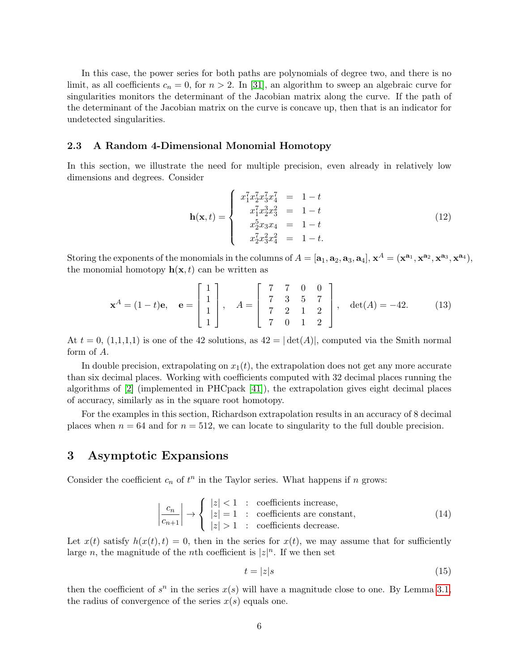In this case, the power series for both paths are polynomials of degree two, and there is no limit, as all coefficients  $c_n = 0$ , for  $n > 2$ . In [\[31\]](#page-18-6), an algorithm to sweep an algebraic curve for singularities monitors the determinant of the Jacobian matrix along the curve. If the path of the determinant of the Jacobian matrix on the curve is concave up, then that is an indicator for undetected singularities.

#### 2.3 A Random 4-Dimensional Monomial Homotopy

In this section, we illustrate the need for multiple precision, even already in relatively low dimensions and degrees. Consider

$$
\mathbf{h}(\mathbf{x},t) = \begin{cases} x_1^7 x_2^7 x_3^7 x_4^7 &= 1-t \\ x_1^7 x_2^3 x_3^2 &= 1-t \\ x_2^5 x_3 x_4 &= 1-t \\ x_2^7 x_3^2 x_4^2 &= 1-t. \end{cases}
$$
(12)

Storing the exponents of the monomials in the columns of  $A = [\mathbf{a}_1, \mathbf{a}_2, \mathbf{a}_3, \mathbf{a}_4], \mathbf{x}^A = (\mathbf{x}^{\mathbf{a}_1}, \mathbf{x}^{\mathbf{a}_2}, \mathbf{x}^{\mathbf{a}_3}, \mathbf{x}^{\mathbf{a}_4}),$ the monomial homotopy  $h(\mathbf{x}, t)$  can be written as

$$
\mathbf{x}^{A} = (1-t)\mathbf{e}, \quad \mathbf{e} = \begin{bmatrix} 1 \\ 1 \\ 1 \\ 1 \end{bmatrix}, \quad A = \begin{bmatrix} 7 & 7 & 0 & 0 \\ 7 & 3 & 5 & 7 \\ 7 & 2 & 1 & 2 \\ 7 & 0 & 1 & 2 \end{bmatrix}, \quad \det(A) = -42. \tag{13}
$$

At  $t = 0$ ,  $(1,1,1,1)$  is one of the 42 solutions, as  $42 = |\det(A)|$ , computed via the Smith normal form of A.

In double precision, extrapolating on  $x_1(t)$ , the extrapolation does not get any more accurate than six decimal places. Working with coefficients computed with 32 decimal places running the algorithms of [\[2\]](#page-16-9) (implemented in PHCpack [\[41\]](#page-18-7)), the extrapolation gives eight decimal places of accuracy, similarly as in the square root homotopy.

For the examples in this section, Richardson extrapolation results in an accuracy of 8 decimal places when  $n = 64$  and for  $n = 512$ , we can locate to singularity to the full double precision.

## 3 Asymptotic Expansions

Consider the coefficient  $c_n$  of  $t^n$  in the Taylor series. What happens if n grows:

$$
\left|\frac{c_n}{c_{n+1}}\right| \to \begin{cases} |z| < 1 : \text{ coefficients increase,} \\ |z| = 1 : \text{ coefficients are constant,} \\ |z| > 1 : \text{ coefficients decrease.} \end{cases} \tag{14}
$$

Let  $x(t)$  satisfy  $h(x(t), t) = 0$ , then in the series for  $x(t)$ , we may assume that for sufficiently large *n*, the magnitude of the *n*th coefficient is  $|z|^n$ . If we then set

<span id="page-5-1"></span>
$$
t = |z|s \tag{15}
$$

<span id="page-5-0"></span>then the coefficient of  $s^n$  in the series  $x(s)$  will have a magnitude close to one. By Lemma [3.1,](#page-5-0) the radius of convergence of the series  $x(s)$  equals one.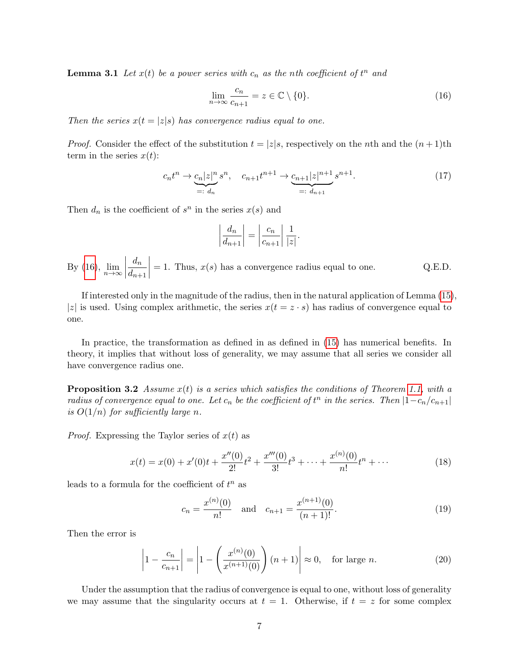**Lemma 3.1** Let  $x(t)$  be a power series with  $c_n$  as the nth coefficient of  $t^n$  and

<span id="page-6-0"></span>
$$
\lim_{n \to \infty} \frac{c_n}{c_{n+1}} = z \in \mathbb{C} \setminus \{0\}.
$$
\n(16)

Then the series  $x(t = |z|s)$  has convergence radius equal to one.

*Proof.* Consider the effect of the substitution  $t = |z|s$ , respectively on the nth and the  $(n+1)$ th term in the series  $x(t)$ :

$$
c_n t^n \to \underbrace{c_n |z|^n}_{=: d_n} s^n, \quad c_{n+1} t^{n+1} \to \underbrace{c_{n+1} |z|^{n+1}}_{=: d_{n+1}} s^{n+1}.
$$
 (17)

Then  $d_n$  is the coefficient of  $s^n$  in the series  $x(s)$  and

$$
\left|\frac{d_n}{d_{n+1}}\right| = \left|\frac{c_n}{c_{n+1}}\right| \frac{1}{|z|}.
$$

By [\(16\)](#page-6-0),  $\lim_{n\to\infty}$  $d_n$  $d_{n+1}$  $\begin{array}{c} \begin{array}{c} \begin{array}{c} \end{array} \\ \begin{array}{c} \end{array} \end{array} \end{array}$  $= 1.$  Thus,  $x(s)$  has a convergence radius equal to one. Q.E.D.

If interested only in the magnitude of the radius, then in the natural application of Lemma [\(15\)](#page-5-1), |z| is used. Using complex arithmetic, the series  $x(t = z \cdot s)$  has radius of convergence equal to one.

In practice, the transformation as defined in as defined in [\(15\)](#page-5-1) has numerical benefits. In theory, it implies that without loss of generality, we may assume that all series we consider all have convergence radius one.

<span id="page-6-2"></span>**Proposition 3.2** Assume  $x(t)$  is a series which satisfies the conditions of Theorem [1.1,](#page-0-0) with a radius of convergence equal to one. Let  $c_n$  be the coefficient of  $t^n$  in the series. Then  $|1-c_n/c_{n+1}|$ is  $O(1/n)$  for sufficiently large n.

*Proof.* Expressing the Taylor series of  $x(t)$  as

$$
x(t) = x(0) + x'(0)t + \frac{x''(0)}{2!}t^2 + \frac{x'''(0)}{3!}t^3 + \dots + \frac{x^{(n)}(0)}{n!}t^n + \dots
$$
\n(18)

leads to a formula for the coefficient of  $t^n$  as

$$
c_n = \frac{x^{(n)}(0)}{n!} \quad \text{and} \quad c_{n+1} = \frac{x^{(n+1)}(0)}{(n+1)!}.\tag{19}
$$

Then the error is

<span id="page-6-1"></span>
$$
\left|1 - \frac{c_n}{c_{n+1}}\right| = \left|1 - \left(\frac{x^{(n)}(0)}{x^{(n+1)}(0)}\right)(n+1)\right| \approx 0, \quad \text{for large } n. \tag{20}
$$

Under the assumption that the radius of convergence is equal to one, without loss of generality we may assume that the singularity occurs at  $t = 1$ . Otherwise, if  $t = z$  for some complex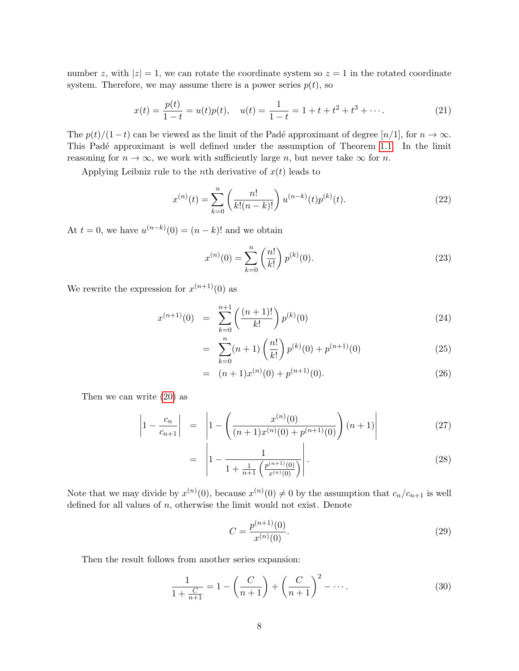number z, with  $|z|=1$ , we can rotate the coordinate system so  $z=1$  in the rotated coordinate system. Therefore, we may assume there is a power series  $p(t)$ , so

$$
x(t) = \frac{p(t)}{1-t} = u(t)p(t), \quad u(t) = \frac{1}{1-t} = 1 + t + t^2 + t^3 + \cdots.
$$
 (21)

The  $p(t)/(1-t)$  can be viewed as the limit of the Padé approximant of degree [n/1], for  $n \to \infty$ . This Padé approximant is well defined under the assumption of Theorem [1.1.](#page-0-0) In the limit reasoning for  $n \to \infty$ , we work with sufficiently large n, but never take  $\infty$  for n.

Applying Leibniz rule to the *n*th derivative of  $x(t)$  leads to

$$
x^{(n)}(t) = \sum_{k=0}^{n} \left(\frac{n!}{k!(n-k)!}\right) u^{(n-k)}(t) p^{(k)}(t).
$$
 (22)

At  $t = 0$ , we have  $u^{(n-k)}(0) = (n-k)!$  and we obtain

$$
x^{(n)}(0) = \sum_{k=0}^{n} \left(\frac{n!}{k!}\right) p^{(k)}(0). \tag{23}
$$

We rewrite the expression for  $x^{(n+1)}(0)$  as

<span id="page-7-2"></span>
$$
x^{(n+1)}(0) = \sum_{k=0}^{n+1} \left( \frac{(n+1)!}{k!} \right) p^{(k)}(0) \tag{24}
$$

$$
= \sum_{k=0}^{n} (n+1) \left(\frac{n!}{k!}\right) p^{(k)}(0) + p^{(n+1)}(0) \tag{25}
$$

$$
= (n+1)x^{(n)}(0) + p^{(n+1)}(0). \tag{26}
$$

Then we can write [\(20\)](#page-6-1) as

<span id="page-7-1"></span>
$$
\left|1 - \frac{c_n}{c_{n+1}}\right| = \left|1 - \left(\frac{x^{(n)}(0)}{(n+1)x^{(n)}(0) + p^{(n+1)}(0)}\right)(n+1)\right| \tag{27}
$$

$$
= \left| 1 - \frac{1}{1 + \frac{1}{n+1} \left( \frac{p^{(n+1)}(0)}{x^{(n)}(0)} \right)} \right|.
$$
 (28)

Note that we may divide by  $x^{(n)}(0)$ , because  $x^{(n)}(0) \neq 0$  by the assumption that  $c_n/c_{n+1}$  is well defined for all values of  $n$ , otherwise the limit would not exist. Denote

$$
C = \frac{p^{(n+1)}(0)}{x^{(n)}(0)}.
$$
\n(29)

Then the result follows from another series expansion:

<span id="page-7-0"></span>
$$
\frac{1}{1 + \frac{C}{n+1}} = 1 - \left(\frac{C}{n+1}\right) + \left(\frac{C}{n+1}\right)^2 - \dotsb. \tag{30}
$$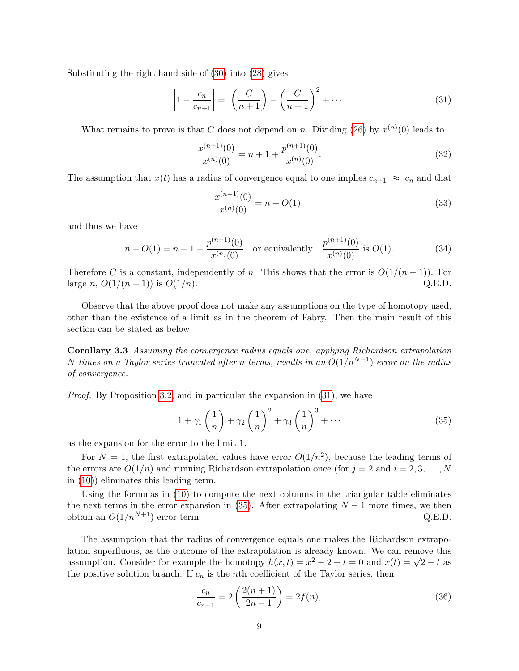Substituting the right hand side of [\(30\)](#page-7-0) into [\(28\)](#page-7-1) gives

<span id="page-8-0"></span>
$$
\left|1 - \frac{c_n}{c_{n+1}}\right| = \left| \left(\frac{C}{n+1}\right) - \left(\frac{C}{n+1}\right)^2 + \cdots \right| \tag{31}
$$

What remains to prove is that C does not depend on n. Dividing [\(26\)](#page-7-2) by  $x^{(n)}(0)$  leads to

$$
\frac{x^{(n+1)}(0)}{x^{(n)}(0)} = n + 1 + \frac{p^{(n+1)}(0)}{x^{(n)}(0)}.
$$
\n(32)

The assumption that  $x(t)$  has a radius of convergence equal to one implies  $c_{n+1} \approx c_n$  and that

$$
\frac{x^{(n+1)}(0)}{x^{(n)}(0)} = n + O(1),\tag{33}
$$

and thus we have

$$
n + O(1) = n + 1 + \frac{p^{(n+1)}(0)}{x^{(n)}(0)}
$$
 or equivalently 
$$
\frac{p^{(n+1)}(0)}{x^{(n)}(0)}
$$
 is  $O(1)$ . (34)

Therefore C is a constant, independently of n. This shows that the error is  $O(1/(n+1))$ . For large n,  $O(1/(n+1))$  is  $O(1/n)$ . Q.E.D.

Observe that the above proof does not make any assumptions on the type of homotopy used, other than the existence of a limit as in the theorem of Fabry. Then the main result of this section can be stated as below.

<span id="page-8-2"></span>Corollary 3.3 Assuming the convergence radius equals one, applying Richardson extrapolation N times on a Taylor series truncated after n terms, results in an  $O(1/n^{N+1})$  error on the radius of convergence.

Proof. By Proposition [3.2,](#page-6-2) and in particular the expansion in [\(31\)](#page-8-0), we have

<span id="page-8-1"></span>
$$
1 + \gamma_1 \left(\frac{1}{n}\right) + \gamma_2 \left(\frac{1}{n}\right)^2 + \gamma_3 \left(\frac{1}{n}\right)^3 + \cdots \tag{35}
$$

as the expansion for the error to the limit 1.

For  $N = 1$ , the first extrapolated values have error  $O(1/n^2)$ , because the leading terms of the errors are  $O(1/n)$  and running Richardson extrapolation once (for  $j = 2$  and  $i = 2, 3, \ldots, N$ in [\(10\)](#page-4-1)) eliminates this leading term.

Using the formulas in [\(10\)](#page-4-1) to compute the next columns in the triangular table eliminates the next terms in the error expansion in [\(35\)](#page-8-1). After extrapolating  $N-1$  more times, we then obtain an  $O(1/n^{N+1})$  error term. Q.E.D.

The assumption that the radius of convergence equals one makes the Richardson extrapolation superfluous, as the outcome of the extrapolation is already known. We can remove this assumption. Consider for example the homotopy  $h(x,t) = x^2 - 2 + t = 0$  and  $x(t) = \sqrt{2-t}$  as the positive solution branch. If  $c_n$  is the nth coefficient of the Taylor series, then

$$
\frac{c_n}{c_{n+1}} = 2\left(\frac{2(n+1)}{2n-1}\right) = 2f(n),\tag{36}
$$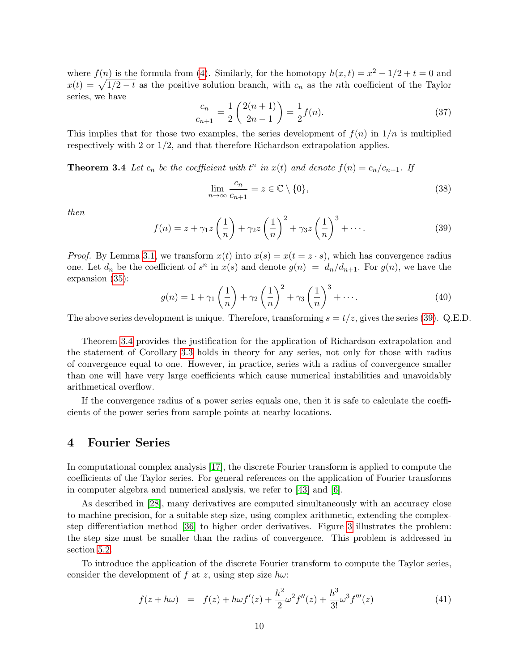where  $f(n)$  is the formula from [\(4\)](#page-2-1). Similarly, for the homotopy  $h(x,t) = x^2 - 1/2 + t = 0$  and  $x(t) = \sqrt{1/2 - t}$  as the positive solution branch, with  $c_n$  as the nth coefficient of the Taylor series, we have

$$
\frac{c_n}{c_{n+1}} = \frac{1}{2} \left( \frac{2(n+1)}{2n-1} \right) = \frac{1}{2} f(n). \tag{37}
$$

This implies that for those two examples, the series development of  $f(n)$  in  $1/n$  is multiplied respectively with 2 or 1/2, and that therefore Richardson extrapolation applies.

<span id="page-9-1"></span>**Theorem 3.4** Let  $c_n$  be the coefficient with  $t^n$  in  $x(t)$  and denote  $f(n) = c_n/c_{n+1}$ . If

$$
\lim_{n \to \infty} \frac{c_n}{c_{n+1}} = z \in \mathbb{C} \setminus \{0\},\tag{38}
$$

then

<span id="page-9-0"></span>
$$
f(n) = z + \gamma_1 z \left(\frac{1}{n}\right) + \gamma_2 z \left(\frac{1}{n}\right)^2 + \gamma_3 z \left(\frac{1}{n}\right)^3 + \cdots.
$$
 (39)

*Proof.* By Lemma [3.1,](#page-5-0) we transform  $x(t)$  into  $x(s) = x(t = z \cdot s)$ , which has convergence radius one. Let  $d_n$  be the coefficient of  $s^n$  in  $x(s)$  and denote  $g(n) = d_n/d_{n+1}$ . For  $g(n)$ , we have the expansion [\(35\)](#page-8-1):

$$
g(n) = 1 + \gamma_1 \left(\frac{1}{n}\right) + \gamma_2 \left(\frac{1}{n}\right)^2 + \gamma_3 \left(\frac{1}{n}\right)^3 + \cdots. \tag{40}
$$

The above series development is unique. Therefore, transforming  $s = t/z$ , gives the series [\(39\)](#page-9-0). Q.E.D.

Theorem [3.4](#page-9-1) provides the justification for the application of Richardson extrapolation and the statement of Corollary [3.3](#page-8-2) holds in theory for any series, not only for those with radius of convergence equal to one. However, in practice, series with a radius of convergence smaller than one will have very large coefficients which cause numerical instabilities and unavoidably arithmetical overflow.

If the convergence radius of a power series equals one, then it is safe to calculate the coefficients of the power series from sample points at nearby locations.

## 4 Fourier Series

In computational complex analysis [\[17\]](#page-17-9), the discrete Fourier transform is applied to compute the coefficients of the Taylor series. For general references on the application of Fourier transforms in computer algebra and numerical analysis, we refer to [\[43\]](#page-18-8) and [\[6\]](#page-16-10).

As described in [\[28\]](#page-17-10), many derivatives are computed simultaneously with an accuracy close to machine precision, for a suitable step size, using complex arithmetic, extending the complexstep differentiation method [\[36\]](#page-18-9) to higher order derivatives. Figure [3](#page-10-0) illustrates the problem: the step size must be smaller than the radius of convergence. This problem is addressed in section [5.2.](#page-13-0)

To introduce the application of the discrete Fourier transform to compute the Taylor series, consider the development of f at z, using step size  $h\omega$ :

$$
f(z + h\omega) = f(z) + h\omega f'(z) + \frac{h^2}{2}\omega^2 f''(z) + \frac{h^3}{3!}\omega^3 f'''(z)
$$
\n(41)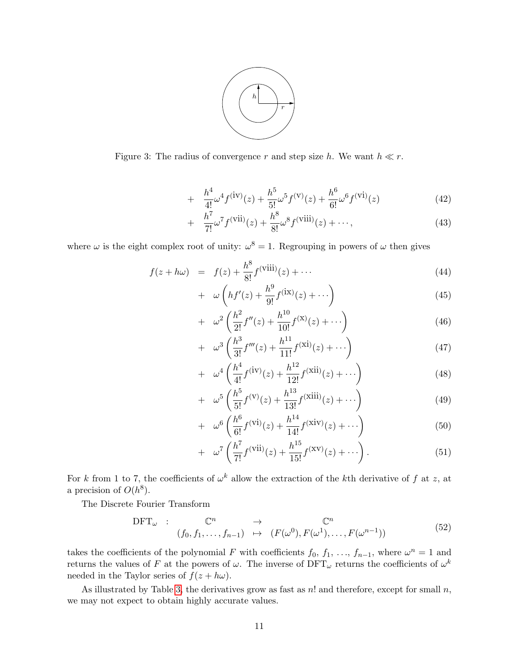

<span id="page-10-0"></span>Figure 3: The radius of convergence r and step size h. We want  $h \ll r$ .

+ 
$$
\frac{h^4}{4!} \omega^4 f^{(iv)}(z) + \frac{h^5}{5!} \omega^5 f^{(v)}(z) + \frac{h^6}{6!} \omega^6 f^{(vi)}(z)
$$
 (42)

+ 
$$
\frac{h^7}{7!} \omega^7 f^{(\text{vii})}(z) + \frac{h^8}{8!} \omega^8 f^{(\text{viii})}(z) + \cdots,
$$
 (43)

where  $\omega$  is the eight complex root of unity:  $\omega^8 = 1$ . Regrouping in powers of  $\omega$  then gives

$$
f(z + h\omega) = f(z) + \frac{h^8}{8!}f^{(\text{viii})}(z) + \cdots
$$
 (44)

$$
+ \quad \omega \left( hf'(z) + \frac{h^9}{9!} f^{(ix)}(z) + \cdots \right) \tag{45}
$$

+ 
$$
\omega^2 \left( \frac{h^2}{2!} f''(z) + \frac{h^{10}}{10!} f^{(\mathbf{X})}(z) + \cdots \right)
$$
 (46)

+ 
$$
\omega^3 \left( \frac{h^3}{3!} f'''(z) + \frac{h^{11}}{11!} f^{(xi)}(z) + \cdots \right)
$$
 (47)

+ 
$$
\omega^4 \left( \frac{h^4}{4!} f^{(iv)}(z) + \frac{h^{12}}{12!} f^{(xii)}(z) + \cdots \right)
$$
 (48)

+ 
$$
\omega^5 \left( \frac{h^5}{5!} f^{(V)}(z) + \frac{h^{13}}{13!} f^{(Xiii)}(z) + \cdots \right)
$$
 (49)

+ 
$$
\omega^6 \left( \frac{h^6}{6!} f^{(vi)}(z) + \frac{h^{14}}{14!} f^{(xiv)}(z) + \cdots \right)
$$
 (50)

+ 
$$
\omega^7 \left( \frac{h^7}{7!} f^{(\text{vii})}(z) + \frac{h^{15}}{15!} f^{(\text{XV})}(z) + \cdots \right)
$$
. (51)

For k from 1 to 7, the coefficients of  $\omega^k$  allow the extraction of the kth derivative of f at z, at a precision of  $O(h^8)$ .

The Discrete Fourier Transform

$$
\text{DFT}_{\omega} : \mathbb{C}^n \to \mathbb{C}^n
$$
  

$$
(f_0, f_1, \dots, f_{n-1}) \mapsto (F(\omega^0), F(\omega^1), \dots, F(\omega^{n-1}))
$$
 (52)

takes the coefficients of the polynomial F with coefficients  $f_0, f_1, \ldots, f_{n-1}$ , where  $\omega^n = 1$  and returns the values of F at the powers of  $\omega$ . The inverse of  $\text{DFT}_{\omega}$  returns the coefficients of  $\omega^k$ needed in the Taylor series of  $f(z + h\omega)$ .

As illustrated by Table [3,](#page-11-0) the derivatives grow as fast as  $n!$  and therefore, except for small  $n$ , we may not expect to obtain highly accurate values.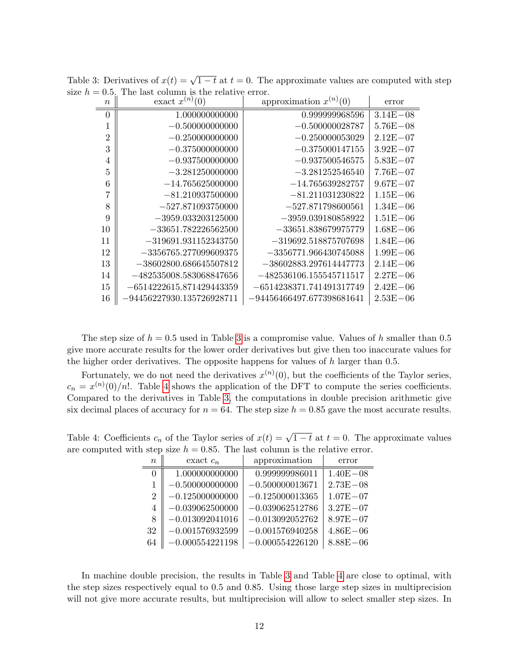<span id="page-11-0"></span>

| $\boldsymbol{n}$ | exact $x^{(n)}(0)$          | approximation $x^{(n)}(0)$  | error        |
|------------------|-----------------------------|-----------------------------|--------------|
| $\overline{0}$   | 1.000000000000              | 0.999999968596              | $3.14E - 08$ |
| 1                | $-0.500000000000$           | $-0.500000028787$           | $5.76E - 08$ |
| $\overline{2}$   | $-0.250000000000$           | $-0.250000053029$           | $2.12E - 07$ |
| 3                | $-0.375000000000$           | $-0.375000147155$           | $3.92E - 07$ |
| $\overline{4}$   | $-0.937500000000$           | $-0.937500546575$           | $5.83E - 07$ |
| 5                | $-3.281250000000$           | $-3.281252546540$           | $7.76E - 07$ |
| 6                | $-14.765625000000$          | $-14.765639282757$          | $9.67E - 07$ |
| 7                | $-81.210937500000$          | $-81.211031230822$          | $1.15E - 06$ |
| 8                | $-527.871093750000$         | $-527.871798600561$         | $1.34E - 06$ |
| 9                | $-3959.033203125000$        | $-3959.039180858922$        | $1.51E - 06$ |
| 10               | $-33651.782226562500$       | $-33651.838679975779$       | $1.68E - 06$ |
| 11               | $-319691.931152343750$      | $-319692.518875707698$      | $1.84E - 06$ |
| 12               | $-3356765.277099609375$     | $-3356771.966430745088$     | $1.99E - 06$ |
| 13               | $-38602800.686645507812$    | $-38602883.297614447773$    | $2.14E - 06$ |
| 14               | $-482535008.583068847656$   | $-482536106.155545711517$   | $2.27E - 06$ |
| 15               | $-6514222615.871429443359$  | $-6514238371.741491317749$  | $2.42E - 06$ |
| 16               | $-94456227930.135726928711$ | $-94456466497.677398681641$ | $2.53E - 06$ |

Table 3: Derivatives of  $x(t) = \sqrt{1-t}$  at  $t = 0$ . The approximate values are computed with step size  $h = 0.5$ . The last column is the relative error.

The step size of  $h = 0.5$  used in Table [3](#page-11-0) is a compromise value. Values of h smaller than 0.5 give more accurate results for the lower order derivatives but give then too inaccurate values for the higher order derivatives. The opposite happens for values of  $h$  larger than 0.5.

Fortunately, we do not need the derivatives  $x^{(n)}(0)$ , but the coefficients of the Taylor series,  $c_n = x^{(n)}(0)/n!$ . Table [4](#page-11-1) shows the application of the DFT to compute the series coefficients. Compared to the derivatives in Table [3,](#page-11-0) the computations in double precision arithmetic give six decimal places of accuracy for  $n = 64$ . The step size  $h = 0.85$  gave the most accurate results.

<span id="page-11-1"></span>

| $\frac{1}{1000}$ $\frac{1}{1000}$ $\frac{1}{1000}$ $\frac{1}{1000}$ $\frac{1}{1000}$ $\frac{1}{10000}$ $\frac{1}{10000}$ $\frac{1}{10000}$ |                   |                   |              |  |  |
|--------------------------------------------------------------------------------------------------------------------------------------------|-------------------|-------------------|--------------|--|--|
| exact $c_n$<br>$\boldsymbol{n}$                                                                                                            |                   | approximation     | error        |  |  |
| 0                                                                                                                                          | 1.000000000000    | 0.999999986011    | $1.40E - 08$ |  |  |
|                                                                                                                                            | $-0.500000000000$ | $-0.500000013671$ | $2.73E - 08$ |  |  |
| $\overline{2}$                                                                                                                             | $-0.125000000000$ | $-0.125000013365$ | $1.07E - 07$ |  |  |
| 4                                                                                                                                          | $-0.039062500000$ | $-0.039062512786$ | $3.27E - 07$ |  |  |
| 8                                                                                                                                          | $-0.013092041016$ | $-0.013092052762$ | $8.97E - 07$ |  |  |
| 32                                                                                                                                         | $-0.001576932599$ | $-0.001576940258$ | $4.86E - 06$ |  |  |
| 64                                                                                                                                         | $-0.000554221198$ | $-0.000554226120$ | $8.88E - 06$ |  |  |
|                                                                                                                                            |                   |                   |              |  |  |

Table 4: Coefficients  $c_n$  of the Taylor series of  $x(t) = \sqrt{1-t}$  at  $t = 0$ . The approximate values are computed with step size  $h = 0.85$ . The last column is the relative error.

In machine double precision, the results in Table [3](#page-11-0) and Table [4](#page-11-1) are close to optimal, with the step sizes respectively equal to 0.5 and 0.85. Using those large step sizes in multiprecision will not give more accurate results, but multiprecision will allow to select smaller step sizes. In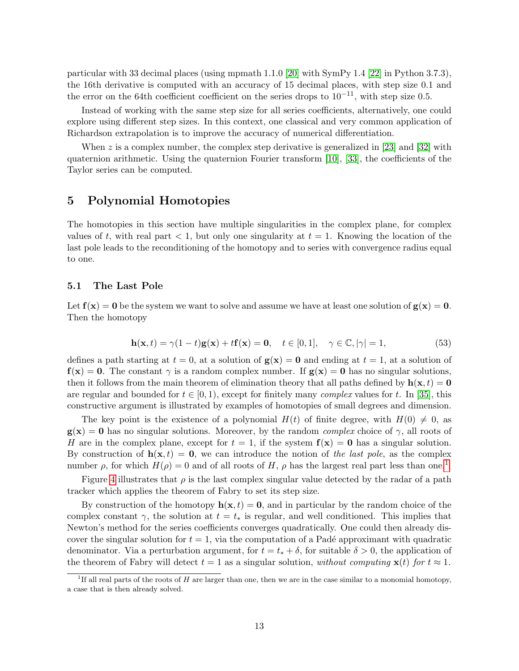particular with 33 decimal places (using mpmath 1.1.0 [\[20\]](#page-17-11) with SymPy 1.4 [\[22\]](#page-17-12) in Python 3.7.3), the 16th derivative is computed with an accuracy of 15 decimal places, with step size 0.1 and the error on the 64th coefficient coefficient on the series drops to  $10^{-11}$ , with step size 0.5.

Instead of working with the same step size for all series coefficients, alternatively, one could explore using different step sizes. In this context, one classical and very common application of Richardson extrapolation is to improve the accuracy of numerical differentiation.

When  $z$  is a complex number, the complex step derivative is generalized in [\[23\]](#page-17-13) and [\[32\]](#page-18-10) with quaternion arithmetic. Using the quaternion Fourier transform  $[10]$ ,  $[33]$ , the coefficients of the Taylor series can be computed.

## 5 Polynomial Homotopies

The homotopies in this section have multiple singularities in the complex plane, for complex values of t, with real part  $\lt 1$ , but only one singularity at  $t = 1$ . Knowing the location of the last pole leads to the reconditioning of the homotopy and to series with convergence radius equal to one.

#### 5.1 The Last Pole

Let  $f(x) = 0$  be the system we want to solve and assume we have at least one solution of  $g(x) = 0$ . Then the homotopy

<span id="page-12-1"></span>
$$
\mathbf{h}(\mathbf{x},t) = \gamma(1-t)\mathbf{g}(\mathbf{x}) + t\mathbf{f}(\mathbf{x}) = \mathbf{0}, \quad t \in [0,1], \quad \gamma \in \mathbb{C}, |\gamma| = 1,
$$
\n(53)

defines a path starting at  $t = 0$ , at a solution of  $g(x) = 0$  and ending at  $t = 1$ , at a solution of  $f(x) = 0$ . The constant  $\gamma$  is a random complex number. If  $g(x) = 0$  has no singular solutions, then it follows from the main theorem of elimination theory that all paths defined by  $h(\mathbf{x}, t) = \mathbf{0}$ are regular and bounded for  $t \in [0, 1)$ , except for finitely many *complex* values for t. In [\[35\]](#page-18-11), this constructive argument is illustrated by examples of homotopies of small degrees and dimension.

The key point is the existence of a polynomial  $H(t)$  of finite degree, with  $H(0) \neq 0$ , as  $g(x) = 0$  has no singular solutions. Moreover, by the random *complex* choice of  $\gamma$ , all roots of H are in the complex plane, except for  $t = 1$ , if the system  $f(x) = 0$  has a singular solution. By construction of  $h(x, t) = 0$ , we can introduce the notion of the last pole, as the complex number  $\rho$ , for which  $H(\rho) = 0$  and of all roots of H,  $\rho$  has the largest real part less than one.<sup>[1](#page-12-0)</sup>

Figure [4](#page-13-1) illustrates that  $\rho$  is the last complex singular value detected by the radar of a path tracker which applies the theorem of Fabry to set its step size.

By construction of the homotopy  $h(x, t) = 0$ , and in particular by the random choice of the complex constant  $\gamma$ , the solution at  $t = t_*$  is regular, and well conditioned. This implies that Newton's method for the series coefficients converges quadratically. One could then already discover the singular solution for  $t = 1$ , via the computation of a Padé approximant with quadratic denominator. Via a perturbation argument, for  $t = t_* + \delta$ , for suitable  $\delta > 0$ , the application of the theorem of Fabry will detect  $t = 1$  as a singular solution, without computing  $\mathbf{x}(t)$  for  $t \approx 1$ .

<span id="page-12-0"></span><sup>&</sup>lt;sup>1</sup>If all real parts of the roots of  $H$  are larger than one, then we are in the case similar to a monomial homotopy, a case that is then already solved.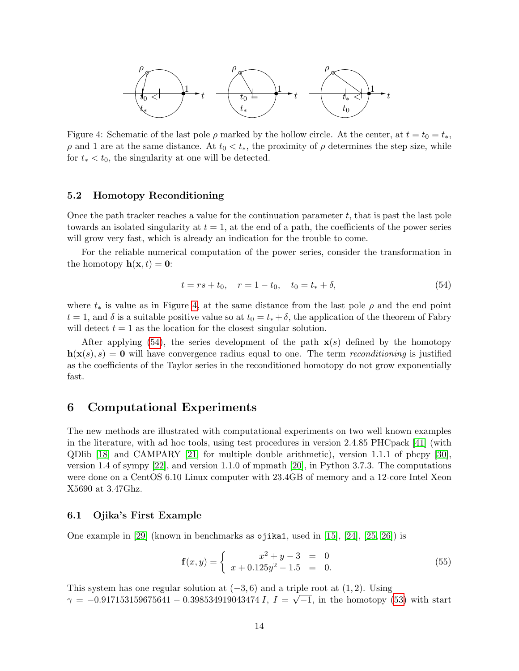

<span id="page-13-1"></span>Figure 4: Schematic of the last pole  $\rho$  marked by the hollow circle. At the center, at  $t = t_0 = t_*$ ,  $ρ$  and 1 are at the same distance. At  $t_0 < t_*$ , the proximity of  $ρ$  determines the step size, while for  $t_* < t_0$ , the singularity at one will be detected.

### <span id="page-13-0"></span>5.2 Homotopy Reconditioning

Once the path tracker reaches a value for the continuation parameter  $t$ , that is past the last pole towards an isolated singularity at  $t = 1$ , at the end of a path, the coefficients of the power series will grow very fast, which is already an indication for the trouble to come.

For the reliable numerical computation of the power series, consider the transformation in the homotopy  $h(\mathbf{x}, t) = 0$ :

<span id="page-13-2"></span>
$$
t = rs + t_0, \quad r = 1 - t_0, \quad t_0 = t_* + \delta,
$$
\n<sup>(54)</sup>

where  $t_*$  is value as in Figure [4,](#page-13-1) at the same distance from the last pole  $\rho$  and the end point  $t = 1$ , and  $\delta$  is a suitable positive value so at  $t_0 = t_* + \delta$ , the application of the theorem of Fabry will detect  $t = 1$  as the location for the closest singular solution.

After applying [\(54\)](#page-13-2), the series development of the path  $x(s)$  defined by the homotopy  $h(\mathbf{x}(s), s) = \mathbf{0}$  will have convergence radius equal to one. The term *reconditioning* is justified as the coefficients of the Taylor series in the reconditioned homotopy do not grow exponentially fast.

## 6 Computational Experiments

The new methods are illustrated with computational experiments on two well known examples in the literature, with ad hoc tools, using test procedures in version 2.4.85 PHCpack [\[41\]](#page-18-7) (with QDlib [\[18\]](#page-17-14) and CAMPARY [\[21\]](#page-17-15) for multiple double arithmetic), version 1.1.1 of phcpy [\[30\]](#page-18-12), version 1.4 of sympy [\[22\]](#page-17-12), and version 1.1.0 of mpmath [\[20\]](#page-17-11), in Python 3.7.3. The computations were done on a CentOS 6.10 Linux computer with 23.4GB of memory and a 12-core Intel Xeon X5690 at 3.47Ghz.

## 6.1 Ojika's First Example

One example in [\[29\]](#page-17-8) (known in benchmarks as ojika1, used in [\[15\]](#page-17-4), [\[24\]](#page-17-2), [\[25,](#page-17-6) [26\]](#page-17-7)) is

$$
\mathbf{f}(x,y) = \begin{cases} x^2 + y - 3 &= 0\\ x + 0.125y^2 - 1.5 &= 0. \end{cases} \tag{55}
$$

This system has one regular solution at  $(-3, 6)$  and a triple root at  $(1, 2)$ . Using  $\gamma = -0.917153159675641 - 0.398534919043474 I, I = \sqrt{-1}$ , in the homotopy [\(53\)](#page-12-1) with start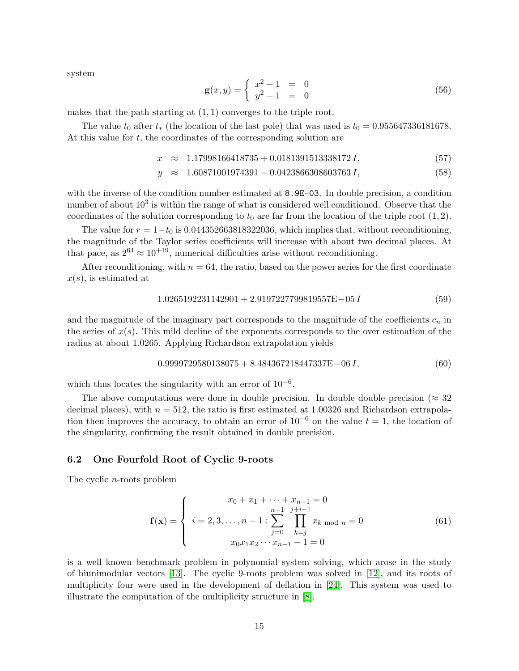system

$$
\mathbf{g}(x,y) = \begin{cases} x^2 - 1 &= 0\\ y^2 - 1 &= 0 \end{cases} \tag{56}
$$

makes that the path starting at  $(1, 1)$  converges to the triple root.

The value  $t_0$  after  $t_*$  (the location of the last pole) that was used is  $t_0 = 0.955647336181678$ . At this value for t, the coordinates of the corresponding solution are

$$
x \approx 1.17998166418735 + 0.0181391513338172 \, I,\tag{57}
$$

$$
y \approx 1.60871001974391 - 0.0423866308603763 \, I,\tag{58}
$$

with the inverse of the condition number estimated at 8.9E-03. In double precision, a condition number of about  $10^3$  is within the range of what is considered well conditioned. Observe that the coordinates of the solution corresponding to  $t_0$  are far from the location of the triple root  $(1, 2)$ .

The value for  $r = 1-t_0$  is 0.044352663818322036, which implies that, without reconditioning, the magnitude of the Taylor series coefficients will increase with about two decimal places. At that pace, as  $2^{64} \approx 10^{+19}$ , numerical difficulties arise without reconditioning.

After reconditioning, with  $n = 64$ , the ratio, based on the power series for the first coordinate  $x(s)$ , is estimated at

$$
1.0265192231142901 + 2.9197227799819557E - 05 I
$$
\n
$$
(59)
$$

and the magnitude of the imaginary part corresponds to the magnitude of the coefficients  $c_n$  in the series of  $x(s)$ . This mild decline of the exponents corresponds to the over estimation of the radius at about 1.0265. Applying Richardson extrapolation yields

$$
0.9999729580138075 + 8.484367218447337E - 06 I,
$$
\n(60)

which thus locates the singularity with an error of  $10^{-6}$ .

The above computations were done in double precision. In double double precision ( $\approx 32$ ) decimal places), with  $n = 512$ , the ratio is first estimated at 1.00326 and Richardson extrapolation then improves the accuracy, to obtain an error of  $10^{-6}$  on the value  $t = 1$ , the location of the singularity, confirming the result obtained in double precision.

### 6.2 One Fourfold Root of Cyclic 9-roots

The cyclic n-roots problem

$$
\mathbf{f}(\mathbf{x}) = \begin{cases} x_0 + x_1 + \dots + x_{n-1} = 0 \\ i = 2, 3, \dots, n-1: \sum_{j=0}^{n-1} \prod_{k=j}^{j+i-1} x_k \text{ mod } n = 0 \\ x_0 x_1 x_2 \cdots x_{n-1} - 1 = 0 \end{cases}
$$
(61)

is a well known benchmark problem in polynomial system solving, which arose in the study of biunimodular vectors [\[13\]](#page-16-11). The cyclic 9-roots problem was solved in [\[12\]](#page-16-12), and its roots of multiplicity four were used in the development of deflation in [\[24\]](#page-17-2). This system was used to illustrate the computation of the multiplicity structure in [\[8\]](#page-16-7).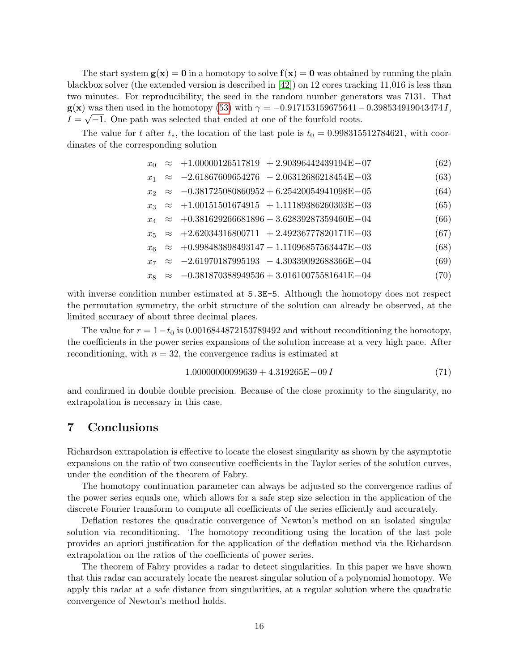The start system  $g(x) = 0$  in a homotopy to solve  $f(x) = 0$  was obtained by running the plain blackbox solver (the extended version is described in [\[42\]](#page-18-13)) on 12 cores tracking 11,016 is less than two minutes. For reproducibility, the seed in the random number generators was 7131. That  $g(x)$  was then used in the homotopy [\(53\)](#page-12-1) with  $\gamma = -0.917153159675641 - 0.398534919043474 I$ ,  $I = \sqrt{-1}$ . One path was selected that ended at one of the fourfold roots.

The value for t after  $t_*$ , the location of the last pole is  $t_0 = 0.998315512784621$ , with coordinates of the corresponding solution

$$
x_0 \approx +1.00000126517819 + 2.90396442439194 \text{E} - 07 \tag{62}
$$

- $x_1 \approx -2.61867609654276 2.06312686218454E 03$  (63)
- $x_2 \approx -0.381725080860952 + 6.25420054941098E 05$  (64)
- $x_3 \approx +1.00151501674915 + 1.11189386260303E-03$  (65)
- $x_4 \approx +0.381629266681896 3.62839287359460E 04$  (66)
- $x_5 \approx +2.62034316800711 + 2.49236777820171E-03$  (67)
- $x_6 \approx +0.998483898493147 1.11096857563447E 03$  (68)
- $x_7 \approx -2.61970187995193 4.30339092688366E 04$  (69)
- $x_8 \approx -0.381870388949536 + 3.01610075581641E-04$  (70)

with inverse condition number estimated at  $5.3E-5$ . Although the homotopy does not respect the permutation symmetry, the orbit structure of the solution can already be observed, at the limited accuracy of about three decimal places.

The value for  $r = 1-t_0$  is 0.0016844872153789492 and without reconditioning the homotopy, the coefficients in the power series expansions of the solution increase at a very high pace. After reconditioning, with  $n = 32$ , the convergence radius is estimated at

$$
1.00000000099639 + 4.319265E - 09I
$$
\n
$$
(71)
$$

and confirmed in double double precision. Because of the close proximity to the singularity, no extrapolation is necessary in this case.

## 7 Conclusions

Richardson extrapolation is effective to locate the closest singularity as shown by the asymptotic expansions on the ratio of two consecutive coefficients in the Taylor series of the solution curves, under the condition of the theorem of Fabry.

The homotopy continuation parameter can always be adjusted so the convergence radius of the power series equals one, which allows for a safe step size selection in the application of the discrete Fourier transform to compute all coefficients of the series efficiently and accurately.

Deflation restores the quadratic convergence of Newton's method on an isolated singular solution via reconditioning. The homotopy reconditiong using the location of the last pole provides an apriori justification for the application of the deflation method via the Richardson extrapolation on the ratios of the coefficients of power series.

The theorem of Fabry provides a radar to detect singularities. In this paper we have shown that this radar can accurately locate the nearest singular solution of a polynomial homotopy. We apply this radar at a safe distance from singularities, at a regular solution where the quadratic convergence of Newton's method holds.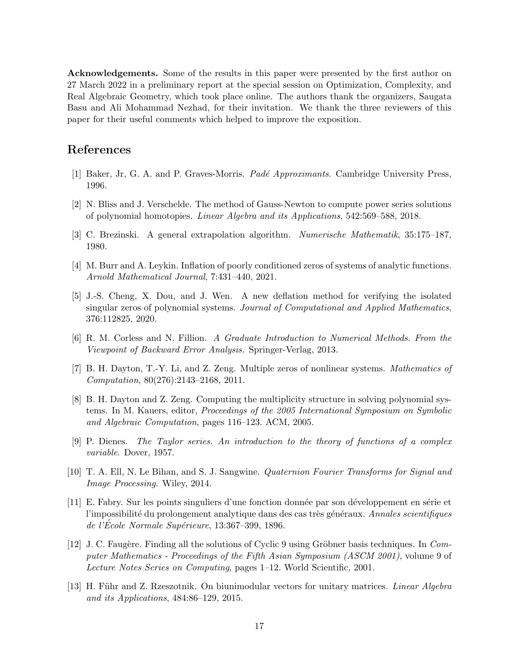Acknowledgements. Some of the results in this paper were presented by the first author on 27 March 2022 in a preliminary report at the special session on Optimization, Complexity, and Real Algebraic Geometry, which took place online. The authors thank the organizers, Saugata Basu and Ali Mohammad Nezhad, for their invitation. We thank the three reviewers of this paper for their useful comments which helped to improve the exposition.

## References

- <span id="page-16-2"></span>[1] Baker, Jr, G. A. and P. Graves-Morris. *Padé Approximants*. Cambridge University Press, 1996.
- <span id="page-16-9"></span>[2] N. Bliss and J. Verschelde. The method of Gauss-Newton to compute power series solutions of polynomial homotopies. Linear Algebra and its Applications, 542:569–588, 2018.
- <span id="page-16-3"></span>[3] C. Brezinski. A general extrapolation algorithm. Numerische Mathematik, 35:175–187, 1980.
- <span id="page-16-5"></span>[4] M. Burr and A. Leykin. Inflation of poorly conditioned zeros of systems of analytic functions. Arnold Mathematical Journal, 7:431–440, 2021.
- <span id="page-16-6"></span>[5] J.-S. Cheng, X. Dou, and J. Wen. A new deflation method for verifying the isolated singular zeros of polynomial systems. Journal of Computational and Applied Mathematics, 376:112825, 2020.
- <span id="page-16-10"></span>[6] R. M. Corless and N. Fillion. A Graduate Introduction to Numerical Methods. From the Viewpoint of Backward Error Analysis. Springer-Verlag, 2013.
- <span id="page-16-8"></span>[7] B. H. Dayton, T.-Y. Li, and Z. Zeng. Multiple zeros of nonlinear systems. Mathematics of Computation, 80(276):2143–2168, 2011.
- <span id="page-16-7"></span>[8] B. H. Dayton and Z. Zeng. Computing the multiplicity structure in solving polynomial systems. In M. Kauers, editor, Proceedings of the 2005 International Symposium on Symbolic and Algebraic Computation, pages 116–123. ACM, 2005.
- <span id="page-16-1"></span>[9] P. Dienes. The Taylor series. An introduction to the theory of functions of a complex variable. Dover, 1957.
- <span id="page-16-4"></span>[10] T. A. Ell, N. Le Bihan, and S. J. Sangwine. Quaternion Fourier Transforms for Signal and Image Processing. Wiley, 2014.
- <span id="page-16-0"></span>[11] E. Fabry. Sur les points singuliers d'une fonction donnée par son développement en série et l'impossibilité du prolongement analytique dans des cas très généraux. Annales scientifiques de l'École Normale Supérieure,  $13:367-399$ ,  $1896$ .
- <span id="page-16-12"></span>[12] J. C. Faugère. Finding all the solutions of Cyclic 9 using Gröbner basis techniques. In Computer Mathematics - Proceedings of the Fifth Asian Symposium (ASCM 2001), volume 9 of Lecture Notes Series on Computing, pages 1–12. World Scientific, 2001.
- <span id="page-16-11"></span>[13] H. Führ and Z. Rzeszotnik. On biunimodular vectors for unitary matrices. Linear Algebra and its Applications, 484:86–129, 2015.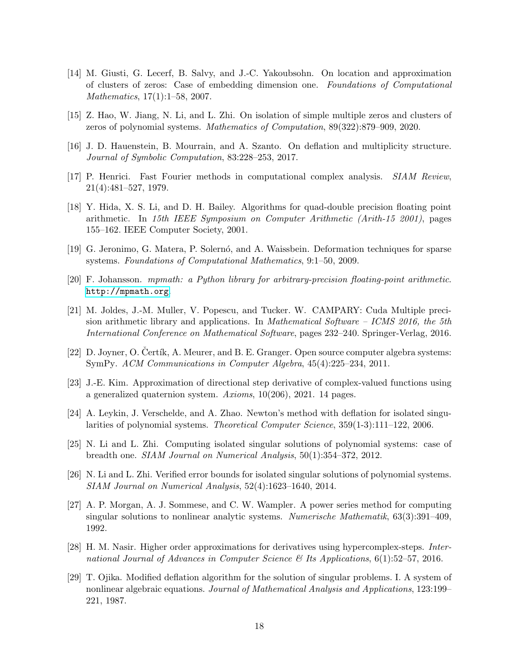- <span id="page-17-3"></span>[14] M. Giusti, G. Lecerf, B. Salvy, and J.-C. Yakoubsohn. On location and approximation of clusters of zeros: Case of embedding dimension one. Foundations of Computational Mathematics, 17(1):1–58, 2007.
- <span id="page-17-4"></span>[15] Z. Hao, W. Jiang, N. Li, and L. Zhi. On isolation of simple multiple zeros and clusters of zeros of polynomial systems. Mathematics of Computation, 89(322):879–909, 2020.
- <span id="page-17-5"></span>[16] J. D. Hauenstein, B. Mourrain, and A. Szanto. On deflation and multiplicity structure. Journal of Symbolic Computation, 83:228–253, 2017.
- <span id="page-17-9"></span>[17] P. Henrici. Fast Fourier methods in computational complex analysis. SIAM Review, 21(4):481–527, 1979.
- <span id="page-17-14"></span>[18] Y. Hida, X. S. Li, and D. H. Bailey. Algorithms for quad-double precision floating point arithmetic. In 15th IEEE Symposium on Computer Arithmetic (Arith-15 2001), pages 155–162. IEEE Computer Society, 2001.
- <span id="page-17-0"></span>[19] G. Jeronimo, G. Matera, P. Solern´o, and A. Waissbein. Deformation techniques for sparse systems. Foundations of Computational Mathematics, 9:1–50, 2009.
- <span id="page-17-11"></span>[20] F. Johansson. mpmath: a Python library for arbitrary-precision floating-point arithmetic. <http://mpmath.org>.
- <span id="page-17-15"></span>[21] M. Joldes, J.-M. Muller, V. Popescu, and Tucker. W. CAMPARY: Cuda Multiple precision arithmetic library and applications. In *Mathematical Software – ICMS 2016, the 5th* International Conference on Mathematical Software, pages 232–240. Springer-Verlag, 2016.
- <span id="page-17-12"></span>[22] D. Joyner, O. Certik, A. Meurer, and B. E. Granger. Open source computer algebra systems: SymPy. ACM Communications in Computer Algebra, 45(4):225–234, 2011.
- <span id="page-17-13"></span>[23] J.-E. Kim. Approximation of directional step derivative of complex-valued functions using a generalized quaternion system. Axioms, 10(206), 2021. 14 pages.
- <span id="page-17-2"></span>[24] A. Leykin, J. Verschelde, and A. Zhao. Newton's method with deflation for isolated singularities of polynomial systems. Theoretical Computer Science, 359(1-3):111–122, 2006.
- <span id="page-17-6"></span>[25] N. Li and L. Zhi. Computing isolated singular solutions of polynomial systems: case of breadth one. SIAM Journal on Numerical Analysis, 50(1):354–372, 2012.
- <span id="page-17-7"></span>[26] N. Li and L. Zhi. Verified error bounds for isolated singular solutions of polynomial systems. SIAM Journal on Numerical Analysis, 52(4):1623–1640, 2014.
- <span id="page-17-1"></span>[27] A. P. Morgan, A. J. Sommese, and C. W. Wampler. A power series method for computing singular solutions to nonlinear analytic systems. Numerische Mathematik, 63(3):391–409, 1992.
- <span id="page-17-10"></span>[28] H. M. Nasir. Higher order approximations for derivatives using hypercomplex-steps. International Journal of Advances in Computer Science  $\mathscr$  Its Applications, 6(1):52–57, 2016.
- <span id="page-17-8"></span>[29] T. Ojika. Modified deflation algorithm for the solution of singular problems. I. A system of nonlinear algebraic equations. Journal of Mathematical Analysis and Applications, 123:199– 221, 1987.